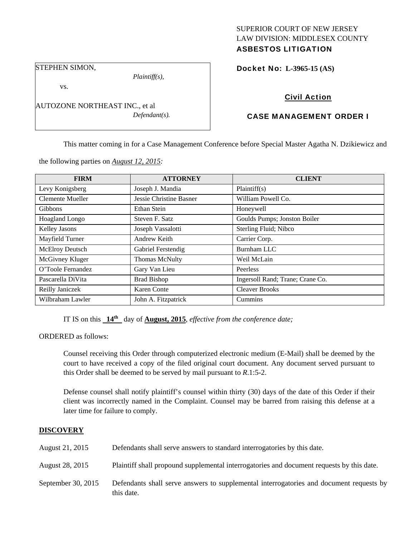## SUPERIOR COURT OF NEW JERSEY LAW DIVISION: MIDDLESEX COUNTY ASBESTOS LITIGATION

STEPHEN SIMON,

vs.

AUTOZONE NORTHEAST INC., et al *Defendant(s).* 

*Plaintiff(s),* 

Docket No: **L-3965-15 (AS)** 

# Civil Action

# CASE MANAGEMENT ORDER I

This matter coming in for a Case Management Conference before Special Master Agatha N. Dzikiewicz and

the following parties on *August 12, 2015:* 

| <b>FIRM</b>       | <b>ATTORNEY</b>         | <b>CLIENT</b>                    |
|-------------------|-------------------------|----------------------------------|
| Levy Konigsberg   | Joseph J. Mandia        | Plaintiff(s)                     |
| Clemente Mueller  | Jessie Christine Basner | William Powell Co.               |
| <b>Gibbons</b>    | Ethan Stein             | Honeywell                        |
| Hoagland Longo    | Steven F. Satz          | Goulds Pumps; Jonston Boiler     |
| Kelley Jasons     | Joseph Vassalotti       | Sterling Fluid; Nibco            |
| Mayfield Turner   | Andrew Keith            | Carrier Corp.                    |
| McElroy Deutsch   | Gabriel Ferstendig      | Burnham LLC                      |
| McGivney Kluger   | <b>Thomas McNulty</b>   | Weil McLain                      |
| O'Toole Fernandez | Gary Van Lieu           | Peerless                         |
| Pascarella DiVita | <b>Brad Bishop</b>      | Ingersoll Rand; Trane; Crane Co. |
| Reilly Janiczek   | Karen Conte             | <b>Cleaver Brooks</b>            |
| Wilbraham Lawler  | John A. Fitzpatrick     | Cummins                          |

IT IS on this **14th** day of **August, 2015**, *effective from the conference date;*

ORDERED as follows:

Counsel receiving this Order through computerized electronic medium (E-Mail) shall be deemed by the court to have received a copy of the filed original court document. Any document served pursuant to this Order shall be deemed to be served by mail pursuant to *R*.1:5-2.

Defense counsel shall notify plaintiff's counsel within thirty (30) days of the date of this Order if their client was incorrectly named in the Complaint. Counsel may be barred from raising this defense at a later time for failure to comply.

## **DISCOVERY**

| August 21, 2015    | Defendants shall serve answers to standard interrogatories by this date.                              |
|--------------------|-------------------------------------------------------------------------------------------------------|
| August 28, 2015    | Plaintiff shall propound supplemental interrogatories and document requests by this date.             |
| September 30, 2015 | Defendants shall serve answers to supplemental interrogatories and document requests by<br>this date. |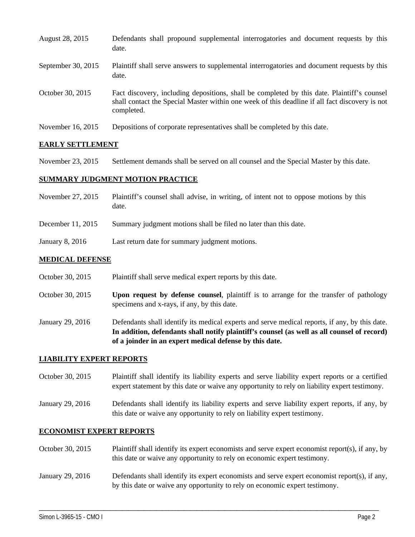| August 28, 2015    | Defendants shall propound supplemental interrogatories and document requests by this<br>date.                                                                                                               |
|--------------------|-------------------------------------------------------------------------------------------------------------------------------------------------------------------------------------------------------------|
| September 30, 2015 | Plaintiff shall serve answers to supplemental interrogatories and document requests by this<br>date.                                                                                                        |
| October 30, 2015   | Fact discovery, including depositions, shall be completed by this date. Plaintiff's counsel<br>shall contact the Special Master within one week of this deadline if all fact discovery is not<br>completed. |
| November 16, 2015  | Depositions of corporate representatives shall be completed by this date.                                                                                                                                   |

## **EARLY SETTLEMENT**

November 23, 2015 Settlement demands shall be served on all counsel and the Special Master by this date.

## **SUMMARY JUDGMENT MOTION PRACTICE**

- November 27, 2015 Plaintiff's counsel shall advise, in writing, of intent not to oppose motions by this date.
- December 11, 2015 Summary judgment motions shall be filed no later than this date.
- January 8, 2016 Last return date for summary judgment motions.

## **MEDICAL DEFENSE**

- October 30, 2015 Plaintiff shall serve medical expert reports by this date.
- October 30, 2015 **Upon request by defense counsel**, plaintiff is to arrange for the transfer of pathology specimens and x-rays, if any, by this date.
- January 29, 2016 Defendants shall identify its medical experts and serve medical reports, if any, by this date. **In addition, defendants shall notify plaintiff's counsel (as well as all counsel of record) of a joinder in an expert medical defense by this date.**

#### **LIABILITY EXPERT REPORTS**

- October 30, 2015 Plaintiff shall identify its liability experts and serve liability expert reports or a certified expert statement by this date or waive any opportunity to rely on liability expert testimony.
- January 29, 2016 Defendants shall identify its liability experts and serve liability expert reports, if any, by this date or waive any opportunity to rely on liability expert testimony.

#### **ECONOMIST EXPERT REPORTS**

- October 30, 2015 Plaintiff shall identify its expert economists and serve expert economist report(s), if any, by this date or waive any opportunity to rely on economic expert testimony.
- January 29, 2016 Defendants shall identify its expert economists and serve expert economist report(s), if any, by this date or waive any opportunity to rely on economic expert testimony.

\_\_\_\_\_\_\_\_\_\_\_\_\_\_\_\_\_\_\_\_\_\_\_\_\_\_\_\_\_\_\_\_\_\_\_\_\_\_\_\_\_\_\_\_\_\_\_\_\_\_\_\_\_\_\_\_\_\_\_\_\_\_\_\_\_\_\_\_\_\_\_\_\_\_\_\_\_\_\_\_\_\_\_\_\_\_\_\_\_\_\_\_\_\_\_\_\_\_\_\_\_\_\_\_\_\_\_\_\_\_